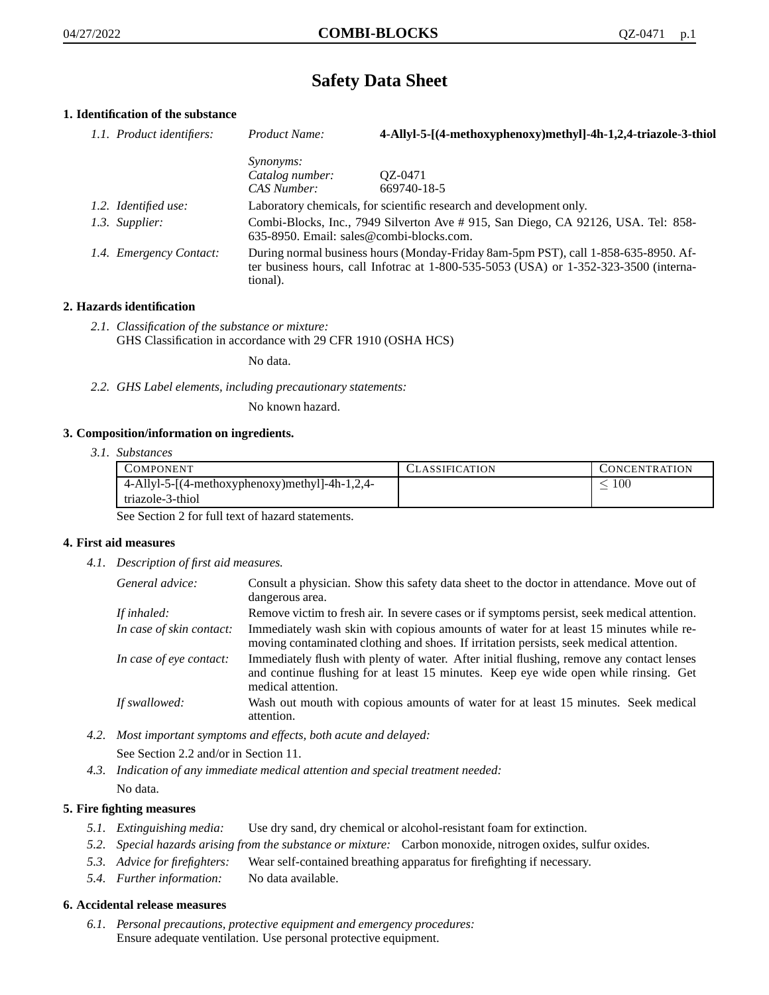# **Safety Data Sheet**

# **1. Identification of the substance**

| 1.1. Product identifiers: | Product Name:                                                                                                                                                                               | 4-Allyl-5-[(4-methoxyphenoxy)methyl]-4h-1,2,4-triazole-3-thiol      |
|---------------------------|---------------------------------------------------------------------------------------------------------------------------------------------------------------------------------------------|---------------------------------------------------------------------|
|                           | <i>Synonyms:</i>                                                                                                                                                                            |                                                                     |
|                           | Catalog number:                                                                                                                                                                             | OZ-0471                                                             |
|                           | CAS Number:                                                                                                                                                                                 | 669740-18-5                                                         |
| 1.2. Identified use:      |                                                                                                                                                                                             | Laboratory chemicals, for scientific research and development only. |
| 1.3. Supplier:            | Combi-Blocks, Inc., 7949 Silverton Ave # 915, San Diego, CA 92126, USA. Tel: 858-<br>635-8950. Email: sales@combi-blocks.com.                                                               |                                                                     |
| 1.4. Emergency Contact:   | During normal business hours (Monday-Friday 8am-5pm PST), call 1-858-635-8950. Af-<br>ter business hours, call Infotrac at $1-800-535-5053$ (USA) or $1-352-323-3500$ (interna-<br>tional). |                                                                     |

## **2. Hazards identification**

*2.1. Classification of the substance or mixture:* GHS Classification in accordance with 29 CFR 1910 (OSHA HCS)

No data.

*2.2. GHS Label elements, including precautionary statements:*

No known hazard.

#### **3. Composition/information on ingredients.**

*3.1. Substances*

| COMPONENT                                      | CLASSIFICATION | CONCENTRATION |
|------------------------------------------------|----------------|---------------|
| 4-Allyl-5-[(4-methoxyphenoxy)methyl]-4h-1,2,4- |                | 100           |
| triazole-3-thiol                               |                |               |

See Section 2 for full text of hazard statements.

#### **4. First aid measures**

*4.1. Description of first aid measures.*

| General advice:          | Consult a physician. Show this safety data sheet to the doctor in attendance. Move out of<br>dangerous area.                                                                                            |
|--------------------------|---------------------------------------------------------------------------------------------------------------------------------------------------------------------------------------------------------|
| If inhaled:              | Remove victim to fresh air. In severe cases or if symptoms persist, seek medical attention.                                                                                                             |
| In case of skin contact: | Immediately wash skin with copious amounts of water for at least 15 minutes while re-<br>moving contaminated clothing and shoes. If irritation persists, seek medical attention.                        |
| In case of eye contact:  | Immediately flush with plenty of water. After initial flushing, remove any contact lenses<br>and continue flushing for at least 15 minutes. Keep eye wide open while rinsing. Get<br>medical attention. |
| If swallowed:            | Wash out mouth with copious amounts of water for at least 15 minutes. Seek medical<br>attention.                                                                                                        |

- *4.2. Most important symptoms and effects, both acute and delayed:* See Section 2.2 and/or in Section 11.
- *4.3. Indication of any immediate medical attention and special treatment needed:* No data.

### **5. Fire fighting measures**

- *5.1. Extinguishing media:* Use dry sand, dry chemical or alcohol-resistant foam for extinction.
- *5.2. Special hazards arising from the substance or mixture:* Carbon monoxide, nitrogen oxides, sulfur oxides.
- *5.3. Advice for firefighters:* Wear self-contained breathing apparatus for firefighting if necessary.
- *5.4. Further information:* No data available.

#### **6. Accidental release measures**

*6.1. Personal precautions, protective equipment and emergency procedures:* Ensure adequate ventilation. Use personal protective equipment.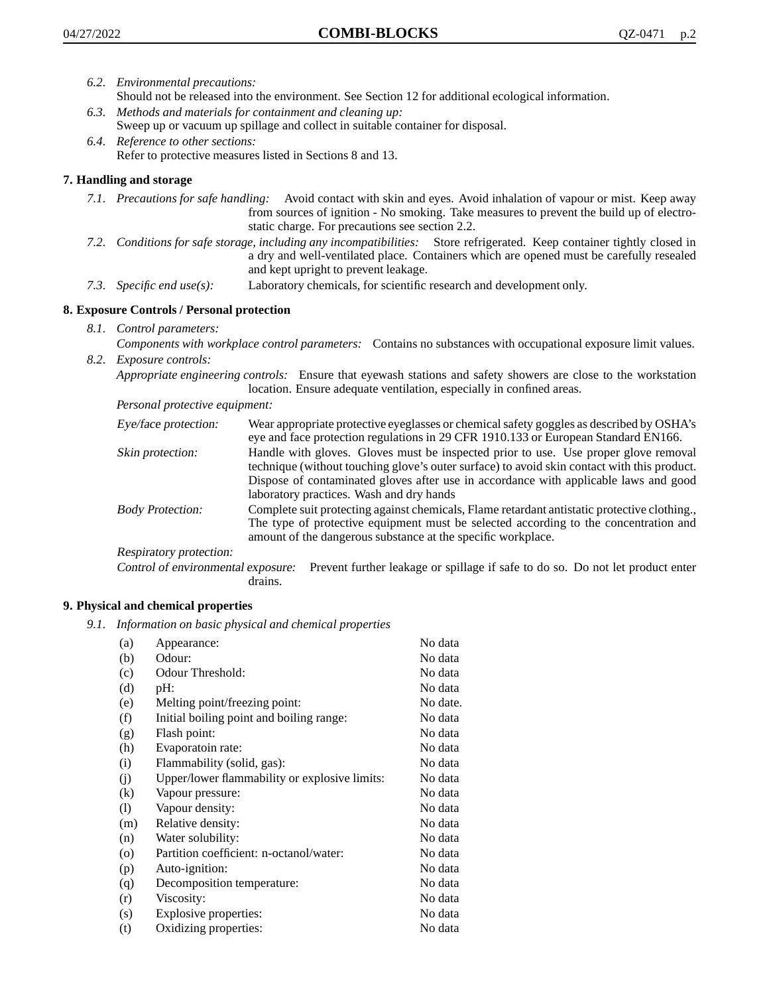- *6.2. Environmental precautions:*
	- Should not be released into the environment. See Section 12 for additional ecological information.
- *6.3. Methods and materials for containment and cleaning up:* Sweep up or vacuum up spillage and collect in suitable container for disposal.
- *6.4. Reference to other sections:* Refer to protective measures listed in Sections 8 and 13.

# **7. Handling and storage**

- *7.1. Precautions for safe handling:* Avoid contact with skin and eyes. Avoid inhalation of vapour or mist. Keep away from sources of ignition - No smoking. Take measures to prevent the build up of electrostatic charge. For precautions see section 2.2.
- *7.2. Conditions for safe storage, including any incompatibilities:* Store refrigerated. Keep container tightly closed in a dry and well-ventilated place. Containers which are opened must be carefully resealed and kept upright to prevent leakage.
- *7.3. Specific end use(s):* Laboratory chemicals, for scientific research and development only.

## **8. Exposure Controls / Personal protection**

*8.1. Control parameters:*

*Components with workplace control parameters:* Contains no substances with occupational exposure limit values. *8.2. Exposure controls:*

*Appropriate engineering controls:* Ensure that eyewash stations and safety showers are close to the workstation location. Ensure adequate ventilation, especially in confined areas.

*Personal protective equipment:*

| Eye/face protection:    | Wear appropriate protective eyeglasses or chemical safety goggles as described by OSHA's<br>eye and face protection regulations in 29 CFR 1910.133 or European Standard EN166.                                                                                                                                         |
|-------------------------|------------------------------------------------------------------------------------------------------------------------------------------------------------------------------------------------------------------------------------------------------------------------------------------------------------------------|
| Skin protection:        | Handle with gloves. Gloves must be inspected prior to use. Use proper glove removal<br>technique (without touching glove's outer surface) to avoid skin contact with this product.<br>Dispose of contaminated gloves after use in accordance with applicable laws and good<br>laboratory practices. Wash and dry hands |
| <b>Body Protection:</b> | Complete suit protecting against chemicals, Flame retardant antistatic protective clothing.,<br>The type of protective equipment must be selected according to the concentration and<br>amount of the dangerous substance at the specific workplace.                                                                   |
| Respiratory protection: |                                                                                                                                                                                                                                                                                                                        |

Control of environmental exposure: Prevent further leakage or spillage if safe to do so. Do not let product enter drains.

#### **9. Physical and chemical properties**

*9.1. Information on basic physical and chemical properties*

| (a)     | Appearance:                                   | No data  |
|---------|-----------------------------------------------|----------|
| (b)     | Odour:                                        | No data  |
| (c)     | Odour Threshold:                              | No data  |
| (d)     | pH:                                           | No data  |
| (e)     | Melting point/freezing point:                 | No date. |
| (f)     | Initial boiling point and boiling range:      | No data  |
| (g)     | Flash point:                                  | No data  |
| (h)     | Evaporatoin rate:                             | No data  |
| (i)     | Flammability (solid, gas):                    | No data  |
| (j)     | Upper/lower flammability or explosive limits: | No data  |
| (k)     | Vapour pressure:                              | No data  |
| (1)     | Vapour density:                               | No data  |
| (m)     | Relative density:                             | No data  |
| (n)     | Water solubility:                             | No data  |
| $\circ$ | Partition coefficient: n-octanol/water:       | No data  |
| (p)     | Auto-ignition:                                | No data  |
| (q)     | Decomposition temperature:                    | No data  |
| (r)     | Viscosity:                                    | No data  |
| (s)     | Explosive properties:                         | No data  |
| (t)     | Oxidizing properties:                         | No data  |